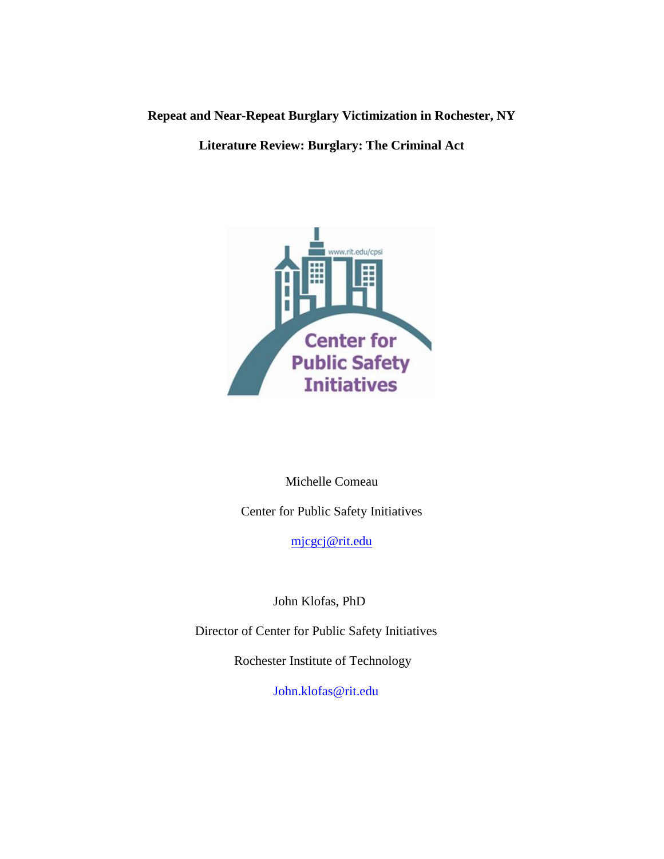**Repeat and Near-Repeat Burglary Victimization in Rochester, NY**

**Literature Review: Burglary: The Criminal Act**



Michelle Comeau

Center for Public Safety Initiatives

[mjcgcj@rit.edu](mailto:mjcgcj@rit.edu)

John Klofas, PhD

Director of Center for Public Safety Initiatives

Rochester Institute of Technology

[John.klofas@rit.edu](mailto:John.klofas@rit.edu)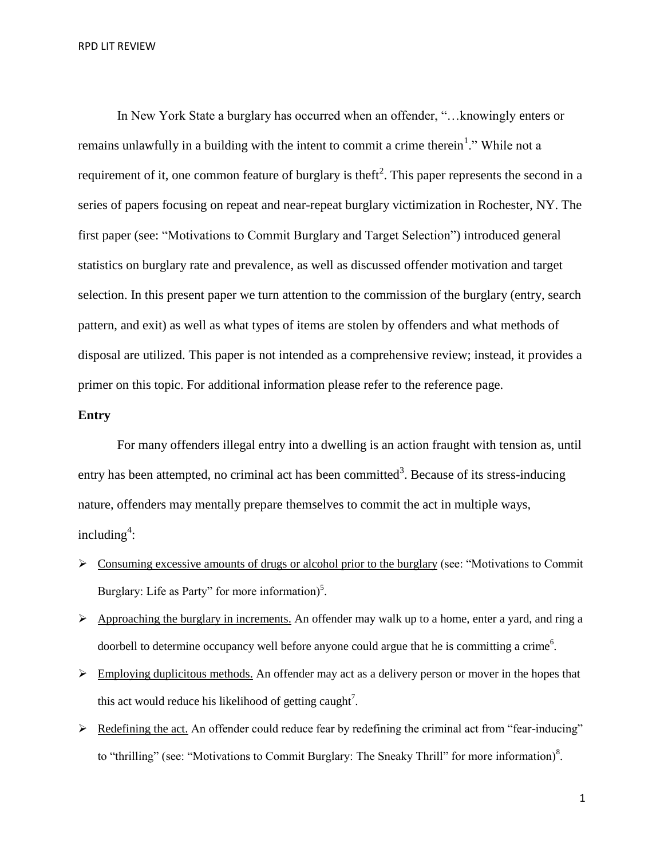RPD LIT REVIEW

In New York State a burglary has occurred when an offender, "…knowingly enters or remains unlawfully in a building with the intent to commit a crime therein<sup>1</sup>." While not a requirement of it, one common feature of burglary is theft<sup>2</sup>. This paper represents the second in a series of papers focusing on repeat and near-repeat burglary victimization in Rochester, NY. The first paper (see: "Motivations to Commit Burglary and Target Selection") introduced general statistics on burglary rate and prevalence, as well as discussed offender motivation and target selection. In this present paper we turn attention to the commission of the burglary (entry, search pattern, and exit) as well as what types of items are stolen by offenders and what methods of disposal are utilized. This paper is not intended as a comprehensive review; instead, it provides a primer on this topic. For additional information please refer to the reference page.

### **Entry**

For many offenders illegal entry into a dwelling is an action fraught with tension as, until entry has been attempted, no criminal act has been committed<sup>3</sup>. Because of its stress-inducing nature, offenders may mentally prepare themselves to commit the act in multiple ways,  $including<sup>4</sup>$ :

- $\triangleright$  Consuming excessive amounts of drugs or alcohol prior to the burglary (see: "Motivations to Commit Burglary: Life as Party" for more information)<sup>5</sup>.
- $\triangleright$  Approaching the burglary in increments. An offender may walk up to a home, enter a yard, and ring a doorbell to determine occupancy well before anyone could argue that he is committing a crime<sup>6</sup>.
- $\triangleright$  Employing duplicitous methods. An offender may act as a delivery person or mover in the hopes that this act would reduce his likelihood of getting caught<sup>7</sup>.
- $\triangleright$  Redefining the act. An offender could reduce fear by redefining the criminal act from "fear-inducing" to "thrilling" (see: "Motivations to Commit Burglary: The Sneaky Thrill" for more information)<sup>8</sup>.

1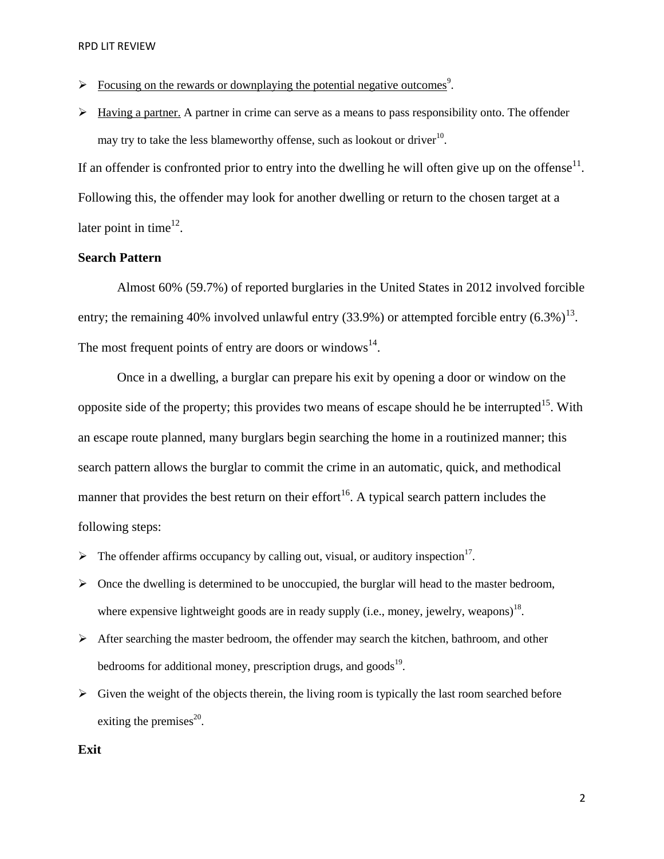- $\triangleright$  Focusing on the rewards or downplaying the potential negative outcomes<sup>9</sup>.
- $\triangleright$  Having a partner. A partner in crime can serve as a means to pass responsibility onto. The offender may try to take the less blameworthy offense, such as lookout or driver<sup>10</sup>.

If an offender is confronted prior to entry into the dwelling he will often give up on the offense $11$ . Following this, the offender may look for another dwelling or return to the chosen target at a later point in time<sup>12</sup>.

# **Search Pattern**

Almost 60% (59.7%) of reported burglaries in the United States in 2012 involved forcible entry; the remaining 40% involved unlawful entry (33.9%) or attempted forcible entry  $(6.3\%)^{13}$ . The most frequent points of entry are doors or windows $^{14}$ .

Once in a dwelling, a burglar can prepare his exit by opening a door or window on the opposite side of the property; this provides two means of escape should he be interrupted<sup>15</sup>. With an escape route planned, many burglars begin searching the home in a routinized manner; this search pattern allows the burglar to commit the crime in an automatic, quick, and methodical manner that provides the best return on their effort<sup>16</sup>. A typical search pattern includes the following steps:

- $\triangleright$  The offender affirms occupancy by calling out, visual, or auditory inspection<sup>17</sup>.
- $\triangleright$  Once the dwelling is determined to be unoccupied, the burglar will head to the master bedroom, where expensive lightweight goods are in ready supply (i.e., money, jewelry, weapons)<sup>18</sup>.
- After searching the master bedroom, the offender may search the kitchen, bathroom, and other bedrooms for additional money, prescription drugs, and goods<sup>19</sup>.
- $\triangleright$  Given the weight of the objects therein, the living room is typically the last room searched before exiting the premises $^{20}$ .

#### **Exit**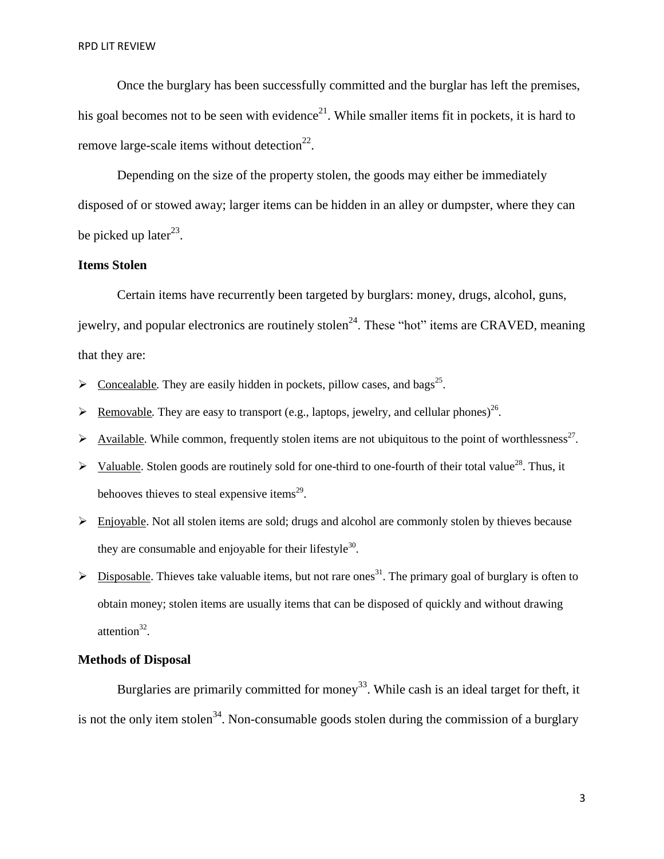Once the burglary has been successfully committed and the burglar has left the premises, his goal becomes not to be seen with evidence<sup>21</sup>. While smaller items fit in pockets, it is hard to remove large-scale items without detection $^{22}$ .

Depending on the size of the property stolen, the goods may either be immediately disposed of or stowed away; larger items can be hidden in an alley or dumpster, where they can be picked up later $^{23}$ .

## **Items Stolen**

Certain items have recurrently been targeted by burglars: money, drugs, alcohol, guns, jewelry, and popular electronics are routinely stolen<sup>24</sup>. These "hot" items are CRAVED, meaning that they are:

- $\triangleright$  Concealable. They are easily hidden in pockets, pillow cases, and bags<sup>25</sup>.
- Exercise Provable. They are easy to transport (e.g., laptops, jewelry, and cellular phones)<sup>26</sup>.
- $\triangleright$  Available. While common, frequently stolen items are not ubiquitous to the point of worthlessness<sup>27</sup>.
- $\triangleright$  Valuable. Stolen goods are routinely sold for one-third to one-fourth of their total value<sup>28</sup>. Thus, it behooves thieves to steal expensive items $^{29}$ .
- $\triangleright$  Enjoyable. Not all stolen items are sold; drugs and alcohol are commonly stolen by thieves because they are consumable and enjoyable for their lifestyle<sup>30</sup>.
- $\geq$  Disposable. Thieves take valuable items, but not rare ones<sup>31</sup>. The primary goal of burglary is often to obtain money; stolen items are usually items that can be disposed of quickly and without drawing attention $^{32}$ .

# **Methods of Disposal**

Burglaries are primarily committed for money<sup>33</sup>. While cash is an ideal target for theft, it is not the only item stolen<sup>34</sup>. Non-consumable goods stolen during the commission of a burglary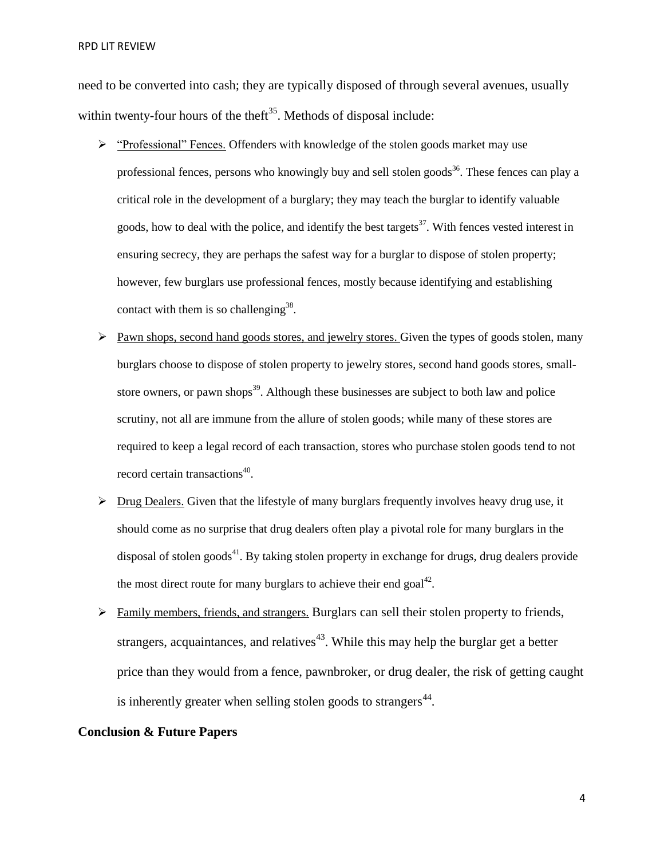RPD LIT REVIEW

need to be converted into cash; they are typically disposed of through several avenues, usually within twenty-four hours of the theft<sup>35</sup>. Methods of disposal include:

- "Professional" Fences. Offenders with knowledge of the stolen goods market may use professional fences, persons who knowingly buy and sell stolen goods<sup>36</sup>. These fences can play a critical role in the development of a burglary; they may teach the burglar to identify valuable goods, how to deal with the police, and identify the best targets<sup>37</sup>. With fences vested interest in ensuring secrecy, they are perhaps the safest way for a burglar to dispose of stolen property; however, few burglars use professional fences, mostly because identifying and establishing contact with them is so challenging<sup>38</sup>.
- $\triangleright$  Pawn shops, second hand goods stores, and jewelry stores. Given the types of goods stolen, many burglars choose to dispose of stolen property to jewelry stores, second hand goods stores, smallstore owners, or pawn shops<sup>39</sup>. Although these businesses are subject to both law and police scrutiny, not all are immune from the allure of stolen goods; while many of these stores are required to keep a legal record of each transaction, stores who purchase stolen goods tend to not record certain transactions<sup>40</sup>.
- $\triangleright$  Drug Dealers. Given that the lifestyle of many burglars frequently involves heavy drug use, it should come as no surprise that drug dealers often play a pivotal role for many burglars in the disposal of stolen goods $41$ . By taking stolen property in exchange for drugs, drug dealers provide the most direct route for many burglars to achieve their end goal<sup>42</sup>.
- $\triangleright$  Family members, friends, and strangers. Burglars can sell their stolen property to friends, strangers, acquaintances, and relatives<sup> $43$ </sup>. While this may help the burglar get a better price than they would from a fence, pawnbroker, or drug dealer, the risk of getting caught is inherently greater when selling stolen goods to strangers $44$ .

### **Conclusion & Future Papers**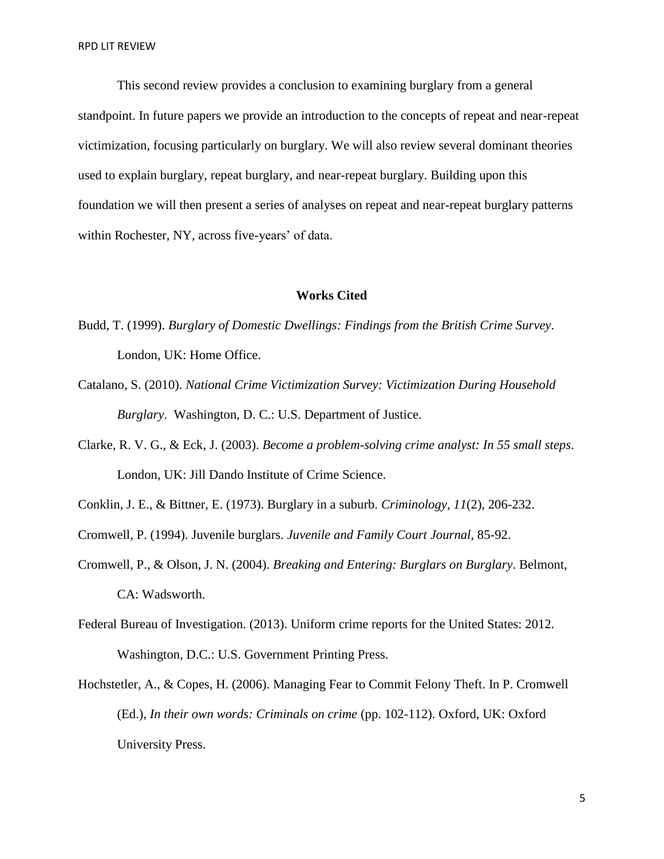This second review provides a conclusion to examining burglary from a general standpoint. In future papers we provide an introduction to the concepts of repeat and near-repeat victimization, focusing particularly on burglary. We will also review several dominant theories used to explain burglary, repeat burglary, and near-repeat burglary. Building upon this foundation we will then present a series of analyses on repeat and near-repeat burglary patterns within Rochester, NY, across five-years' of data.

#### **Works Cited**

- Budd, T. (1999). *Burglary of Domestic Dwellings: Findings from the British Crime Survey*. London, UK: Home Office.
- Catalano, S. (2010). *National Crime Victimization Survey: Victimization During Household Burglary*. Washington, D. C.: U.S. Department of Justice.
- Clarke, R. V. G., & Eck, J. (2003). *Become a problem-solving crime analyst: In 55 small steps*. London, UK: Jill Dando Institute of Crime Science.
- Conklin, J. E., & Bittner, E. (1973). Burglary in a suburb. *Criminology, 11*(2), 206-232.
- Cromwell, P. (1994). Juvenile burglars. *Juvenile and Family Court Journal*, 85-92.
- Cromwell, P., & Olson, J. N. (2004). *Breaking and Entering: Burglars on Burglary*. Belmont, CA: Wadsworth.
- Federal Bureau of Investigation. (2013). Uniform crime reports for the United States: 2012. Washington, D.C.: U.S. Government Printing Press.
- Hochstetler, A., & Copes, H. (2006). Managing Fear to Commit Felony Theft. In P. Cromwell (Ed.), *In their own words: Criminals on crime* (pp. 102-112). Oxford, UK: Oxford University Press.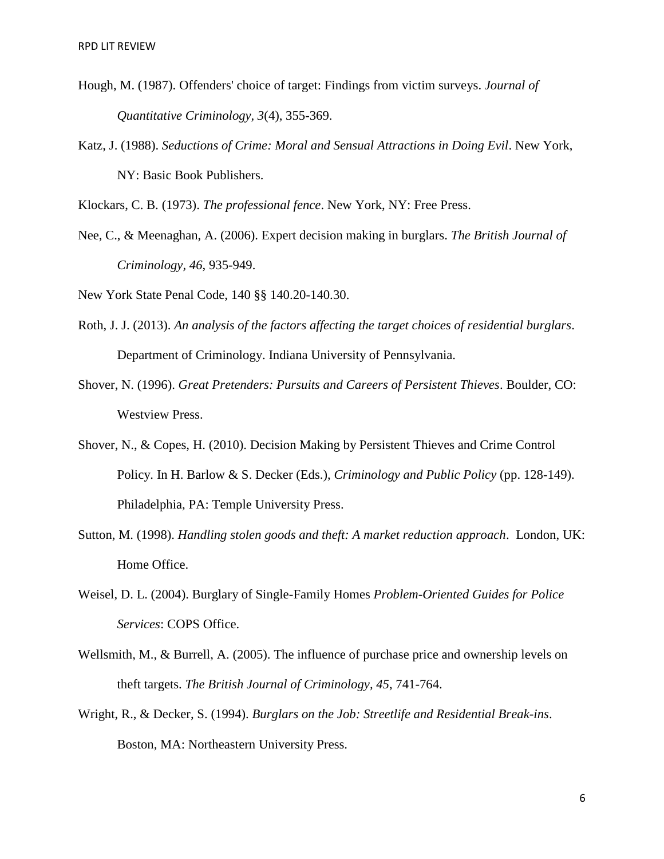- Hough, M. (1987). Offenders' choice of target: Findings from victim surveys. *Journal of Quantitative Criminology, 3*(4), 355-369.
- Katz, J. (1988). *Seductions of Crime: Moral and Sensual Attractions in Doing Evil*. New York, NY: Basic Book Publishers.

Klockars, C. B. (1973). *The professional fence*. New York, NY: Free Press.

Nee, C., & Meenaghan, A. (2006). Expert decision making in burglars. *The British Journal of Criminology, 46*, 935-949.

New York State Penal Code, 140 §§ 140.20-140.30.

- Roth, J. J. (2013). *An analysis of the factors affecting the target choices of residential burglars*. Department of Criminology. Indiana University of Pennsylvania.
- Shover, N. (1996). *Great Pretenders: Pursuits and Careers of Persistent Thieves*. Boulder, CO: Westview Press.
- Shover, N., & Copes, H. (2010). Decision Making by Persistent Thieves and Crime Control Policy. In H. Barlow & S. Decker (Eds.), *Criminology and Public Policy* (pp. 128-149). Philadelphia, PA: Temple University Press.
- Sutton, M. (1998). *Handling stolen goods and theft: A market reduction approach*. London, UK: Home Office.
- Weisel, D. L. (2004). Burglary of Single-Family Homes *Problem-Oriented Guides for Police Services*: COPS Office.
- Wellsmith, M., & Burrell, A. (2005). The influence of purchase price and ownership levels on theft targets. *The British Journal of Criminology, 45*, 741-764.
- Wright, R., & Decker, S. (1994). *Burglars on the Job: Streetlife and Residential Break-ins*. Boston, MA: Northeastern University Press.